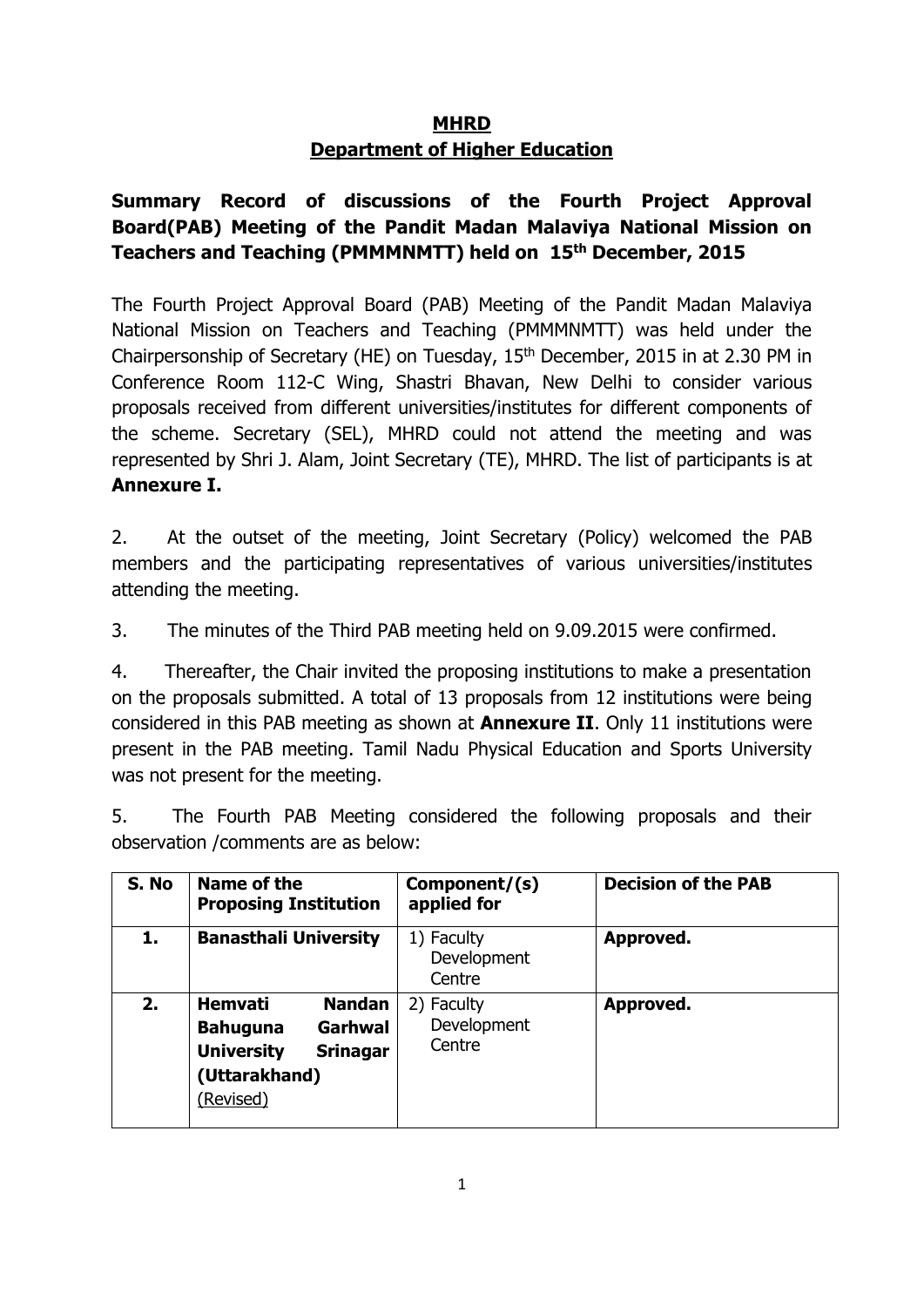### **MHRD Department of Higher Education**

## **Summary Record of discussions of the Fourth Project Approval Board(PAB) Meeting of the Pandit Madan Malaviya National Mission on Teachers and Teaching (PMMMNMTT) held on 15th December, 2015**

The Fourth Project Approval Board (PAB) Meeting of the Pandit Madan Malaviya National Mission on Teachers and Teaching (PMMMNMTT) was held under the Chairpersonship of Secretary (HE) on Tuesday, 15<sup>th</sup> December, 2015 in at 2.30 PM in Conference Room 112-C Wing, Shastri Bhavan, New Delhi to consider various proposals received from different universities/institutes for different components of the scheme. Secretary (SEL), MHRD could not attend the meeting and was represented by Shri J. Alam, Joint Secretary (TE), MHRD. The list of participants is at **Annexure I.**

2. At the outset of the meeting, Joint Secretary (Policy) welcomed the PAB members and the participating representatives of various universities/institutes attending the meeting.

3. The minutes of the Third PAB meeting held on 9.09.2015 were confirmed.

4. Thereafter, the Chair invited the proposing institutions to make a presentation on the proposals submitted. A total of 13 proposals from 12 institutions were being considered in this PAB meeting as shown at **Annexure II**. Only 11 institutions were present in the PAB meeting. Tamil Nadu Physical Education and Sports University was not present for the meeting.

5. The Fourth PAB Meeting considered the following proposals and their observation /comments are as below:

| S. No | Name of the<br><b>Proposing Institution</b>                                                                                         | Component/(s)<br>applied for        | <b>Decision of the PAB</b> |
|-------|-------------------------------------------------------------------------------------------------------------------------------------|-------------------------------------|----------------------------|
| 1.    | <b>Banasthali University</b>                                                                                                        | 1) Faculty<br>Development<br>Centre | Approved.                  |
| 2.    | <b>Hemvati</b><br><b>Nandan</b><br>Garhwal<br><b>Bahuguna</b><br><b>University</b><br><b>Srinagar</b><br>(Uttarakhand)<br>(Revised) | 2) Faculty<br>Development<br>Centre | Approved.                  |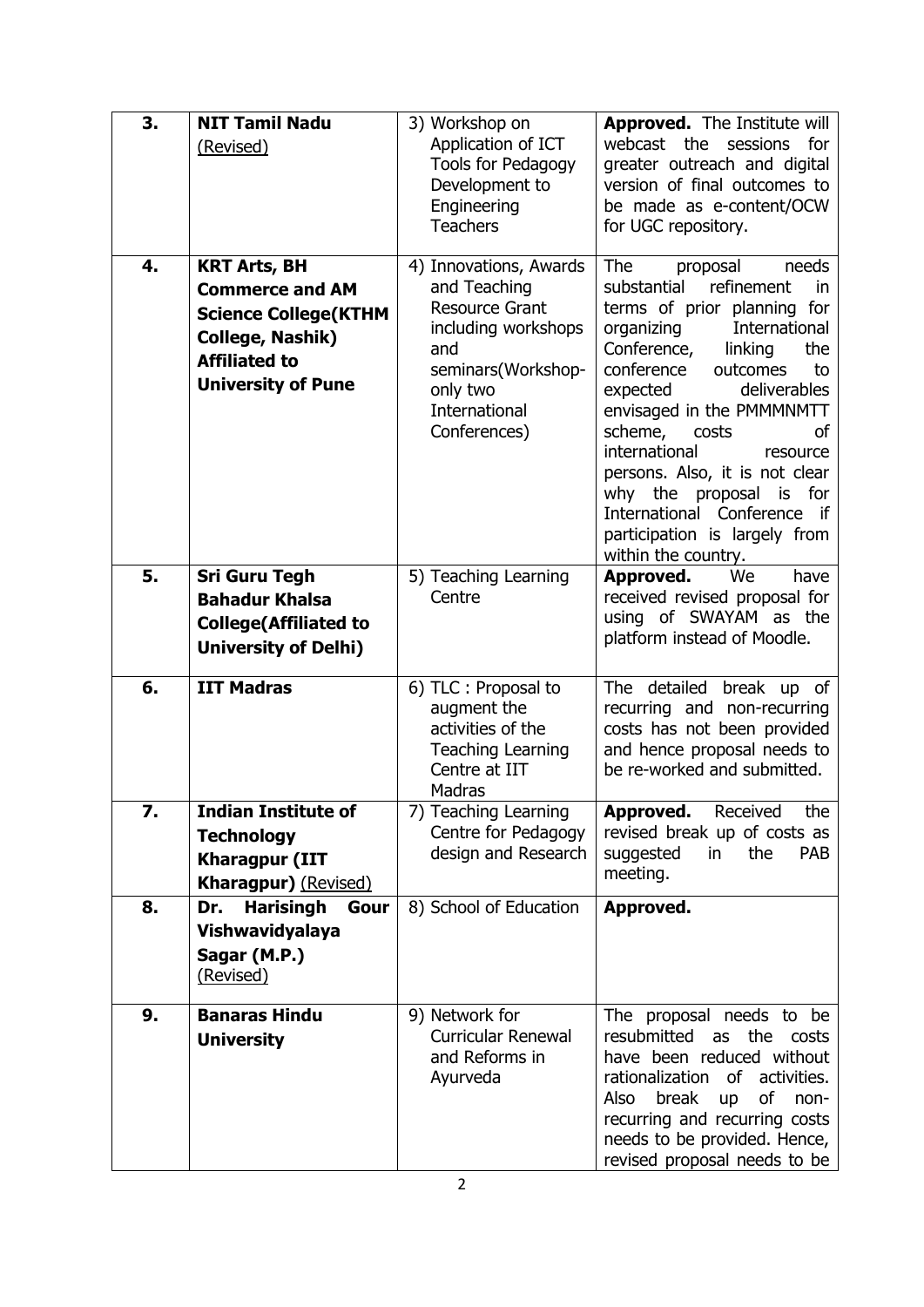| 3. | <b>NIT Tamil Nadu</b>                                                                                                                                  | 3) Workshop on                                                                                                                                                   | <b>Approved.</b> The Institute will                                                                                                                                                                                                                                                                                                                                                                                                                                      |
|----|--------------------------------------------------------------------------------------------------------------------------------------------------------|------------------------------------------------------------------------------------------------------------------------------------------------------------------|--------------------------------------------------------------------------------------------------------------------------------------------------------------------------------------------------------------------------------------------------------------------------------------------------------------------------------------------------------------------------------------------------------------------------------------------------------------------------|
|    | (Revised)                                                                                                                                              | Application of ICT<br>Tools for Pedagogy<br>Development to<br>Engineering<br><b>Teachers</b>                                                                     | webcast the sessions for<br>greater outreach and digital<br>version of final outcomes to<br>be made as e-content/OCW<br>for UGC repository.                                                                                                                                                                                                                                                                                                                              |
| 4. | <b>KRT Arts, BH</b><br><b>Commerce and AM</b><br><b>Science College (KTHM</b><br>College, Nashik)<br><b>Affiliated to</b><br><b>University of Pune</b> | 4) Innovations, Awards<br>and Teaching<br><b>Resource Grant</b><br>including workshops<br>and<br>seminars(Workshop-<br>only two<br>International<br>Conferences) | <b>The</b><br>needs<br>proposal<br>refinement<br>substantial<br>in<br>terms of prior planning for<br>organizing<br>International<br>Conference,<br>linking<br>the<br>conference<br>outcomes<br>to<br>deliverables<br>expected<br>envisaged in the PMMMNMTT<br>scheme,<br>costs<br>οf<br>international<br>resource<br>persons. Also, it is not clear<br>why the proposal<br>is for<br>International Conference if<br>participation is largely from<br>within the country. |
| 5. | <b>Sri Guru Tegh</b><br><b>Bahadur Khalsa</b><br><b>College(Affiliated to</b><br><b>University of Delhi)</b>                                           | 5) Teaching Learning<br>Centre                                                                                                                                   | Approved.<br>We<br>have<br>received revised proposal for<br>using of SWAYAM as the<br>platform instead of Moodle.                                                                                                                                                                                                                                                                                                                                                        |
| 6. | <b>IIT Madras</b>                                                                                                                                      | 6) TLC : Proposal to<br>augment the<br>activities of the<br><b>Teaching Learning</b><br>Centre at IIT<br><b>Madras</b>                                           | The detailed break up of<br>recurring and non-recurring<br>costs has not been provided<br>and hence proposal needs to<br>be re-worked and submitted.                                                                                                                                                                                                                                                                                                                     |
| 7. | <b>Indian Institute of</b><br><b>Technology</b><br><b>Kharagpur (IIT</b><br><b>Kharagpur)</b> (Revised)                                                | 7) Teaching Learning<br>Centre for Pedagogy<br>design and Research                                                                                               | <b>Approved.</b><br>Received<br>the<br>revised break up of costs as<br>the<br><b>PAB</b><br>suggested<br>in<br>meeting.                                                                                                                                                                                                                                                                                                                                                  |
| 8. | <b>Harisingh</b><br>Dr.<br>Gour<br>Vishwavidyalaya<br>Sagar (M.P.)<br>(Revised)                                                                        | 8) School of Education                                                                                                                                           | Approved.                                                                                                                                                                                                                                                                                                                                                                                                                                                                |
| 9. | <b>Banaras Hindu</b><br><b>University</b>                                                                                                              | 9) Network for<br><b>Curricular Renewal</b><br>and Reforms in<br>Ayurveda                                                                                        | The proposal needs to be<br>resubmitted<br>as the<br>costs<br>have been reduced without<br>rationalization of<br>activities.<br>of<br>Also<br>break<br>non-<br><b>up</b><br>recurring and recurring costs<br>needs to be provided. Hence,<br>revised proposal needs to be                                                                                                                                                                                                |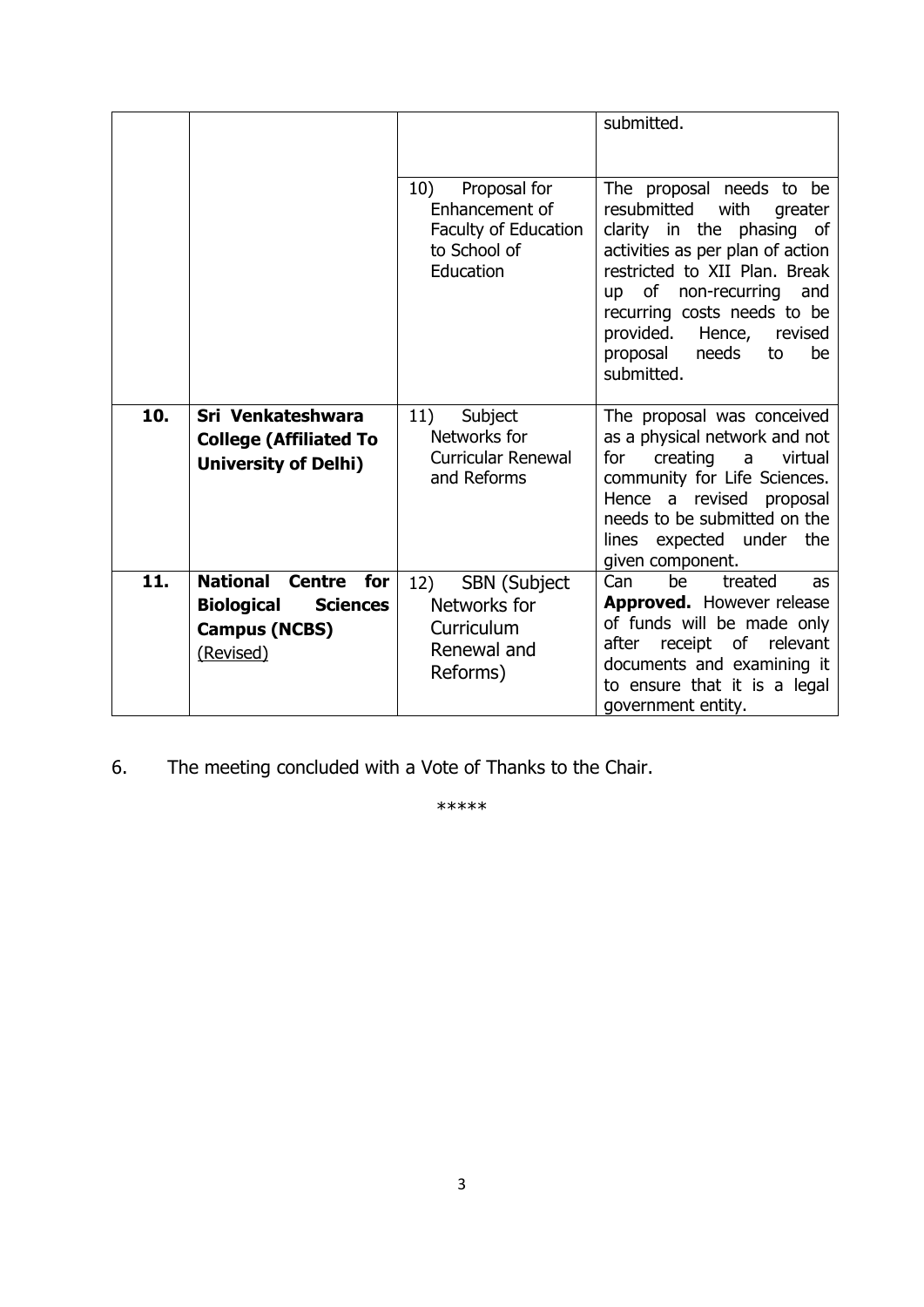|     |                                                                                                                      |                                                                                            | submitted.                                                                                                                                                                                                                                                                                                           |
|-----|----------------------------------------------------------------------------------------------------------------------|--------------------------------------------------------------------------------------------|----------------------------------------------------------------------------------------------------------------------------------------------------------------------------------------------------------------------------------------------------------------------------------------------------------------------|
|     |                                                                                                                      | 10)<br>Proposal for<br>Enhancement of<br>Faculty of Education<br>to School of<br>Education | The proposal needs to be<br>resubmitted<br>with<br>greater<br>clarity in the phasing of<br>activities as per plan of action<br>restricted to XII Plan. Break<br>of non-recurring<br>and<br><b>up</b><br>recurring costs needs to be<br>provided.<br>Hence,<br>revised<br>needs<br>proposal<br>to<br>be<br>submitted. |
| 10. | Sri Venkateshwara<br><b>College (Affiliated To</b><br><b>University of Delhi)</b>                                    | 11)<br>Subject<br>Networks for<br><b>Curricular Renewal</b><br>and Reforms                 | The proposal was conceived<br>as a physical network and not<br>creating<br>virtual<br>for<br>a<br>community for Life Sciences.<br>Hence a revised proposal<br>needs to be submitted on the<br>lines expected under the<br>given component.                                                                           |
| 11. | <b>National</b><br><b>Centre</b><br>for<br><b>Biological</b><br><b>Sciences</b><br><b>Campus (NCBS)</b><br>(Revised) | <b>SBN</b> (Subject<br>12)<br>Networks for<br>Curriculum<br>Renewal and<br>Reforms)        | Can<br>be<br>treated<br>as<br>Approved. However release<br>of funds will be made only<br>receipt<br>of relevant<br>after<br>documents and examining it<br>to ensure that it is a legal<br>government entity.                                                                                                         |

6. The meeting concluded with a Vote of Thanks to the Chair.

\*\*\*\*\*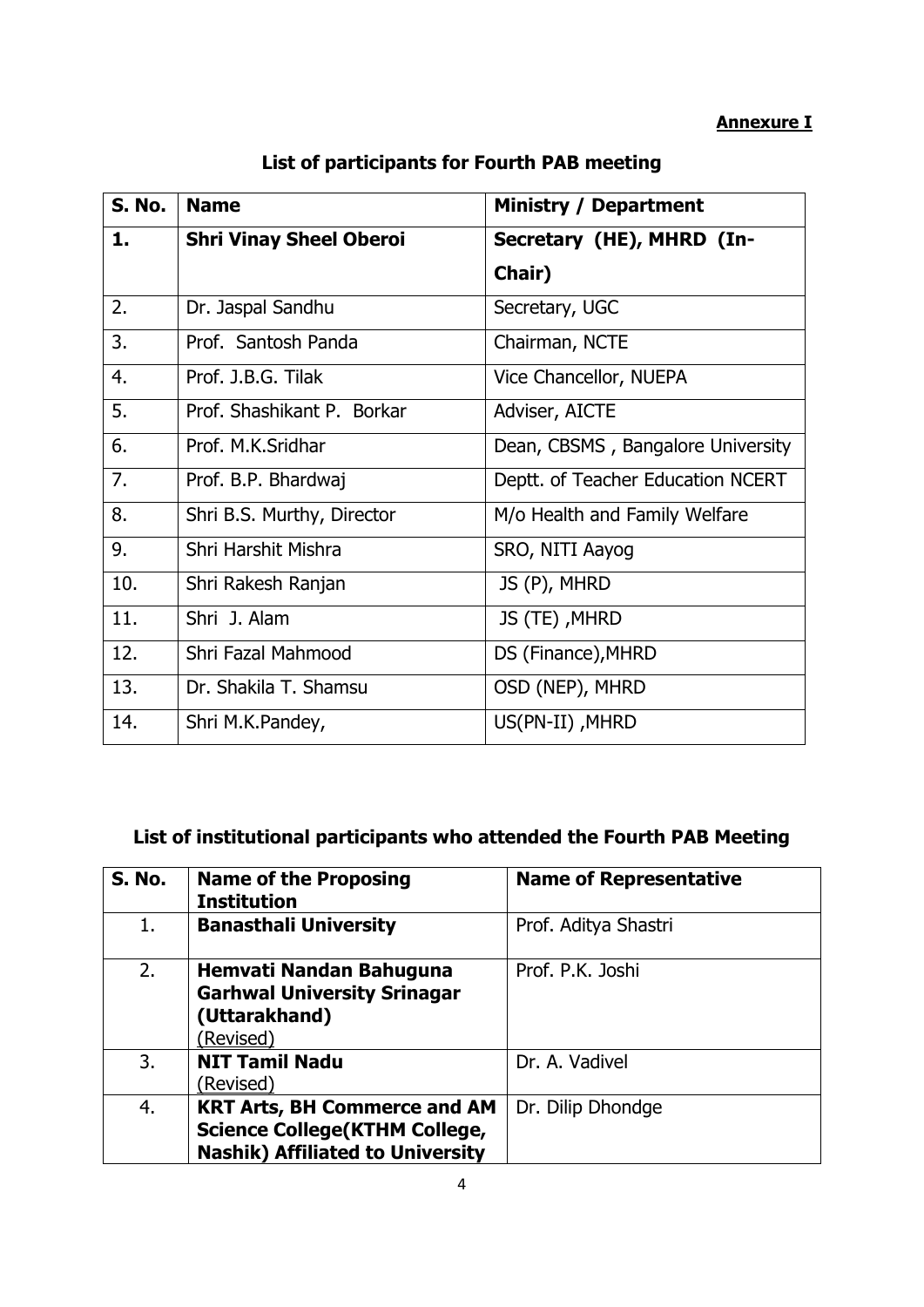| S. No. | <b>Name</b>                    | <b>Ministry / Department</b>      |
|--------|--------------------------------|-----------------------------------|
| 1.     | <b>Shri Vinay Sheel Oberoi</b> | Secretary (HE), MHRD (In-         |
|        |                                | Chair)                            |
| 2.     | Dr. Jaspal Sandhu              | Secretary, UGC                    |
| 3.     | Prof. Santosh Panda            | Chairman, NCTE                    |
| 4.     | Prof. J.B.G. Tilak             | Vice Chancellor, NUEPA            |
| 5.     | Prof. Shashikant P. Borkar     | Adviser, AICTE                    |
| 6.     | Prof. M.K.Sridhar              | Dean, CBSMS, Bangalore University |
| 7.     | Prof. B.P. Bhardwaj            | Deptt. of Teacher Education NCERT |
| 8.     | Shri B.S. Murthy, Director     | M/o Health and Family Welfare     |
| 9.     | Shri Harshit Mishra            | SRO, NITI Aayog                   |
| 10.    | Shri Rakesh Ranjan             | JS (P), MHRD                      |
| 11.    | Shri J. Alam                   | JS (TE), MHRD                     |
| 12.    | Shri Fazal Mahmood             | DS (Finance), MHRD                |
| 13.    | Dr. Shakila T. Shamsu          | OSD (NEP), MHRD                   |
| 14.    | Shri M.K.Pandey,               | US(PN-II), MHRD                   |

## **List of participants for Fourth PAB meeting**

# **List of institutional participants who attended the Fourth PAB Meeting**

| <b>S. No.</b> | <b>Name of the Proposing</b><br><b>Institution</b>                                                                      | <b>Name of Representative</b> |
|---------------|-------------------------------------------------------------------------------------------------------------------------|-------------------------------|
| 1.            | <b>Banasthali University</b>                                                                                            | Prof. Aditya Shastri          |
| 2.            | Hemvati Nandan Bahuguna<br><b>Garhwal University Srinagar</b><br>(Uttarakhand)<br>(Revised)                             | Prof. P.K. Joshi              |
| 3.            | <b>NIT Tamil Nadu</b><br>(Revised)                                                                                      | Dr. A. Vadivel                |
| 4.            | <b>KRT Arts, BH Commerce and AM</b><br><b>Science College (KTHM College,</b><br><b>Nashik) Affiliated to University</b> | Dr. Dilip Dhondge             |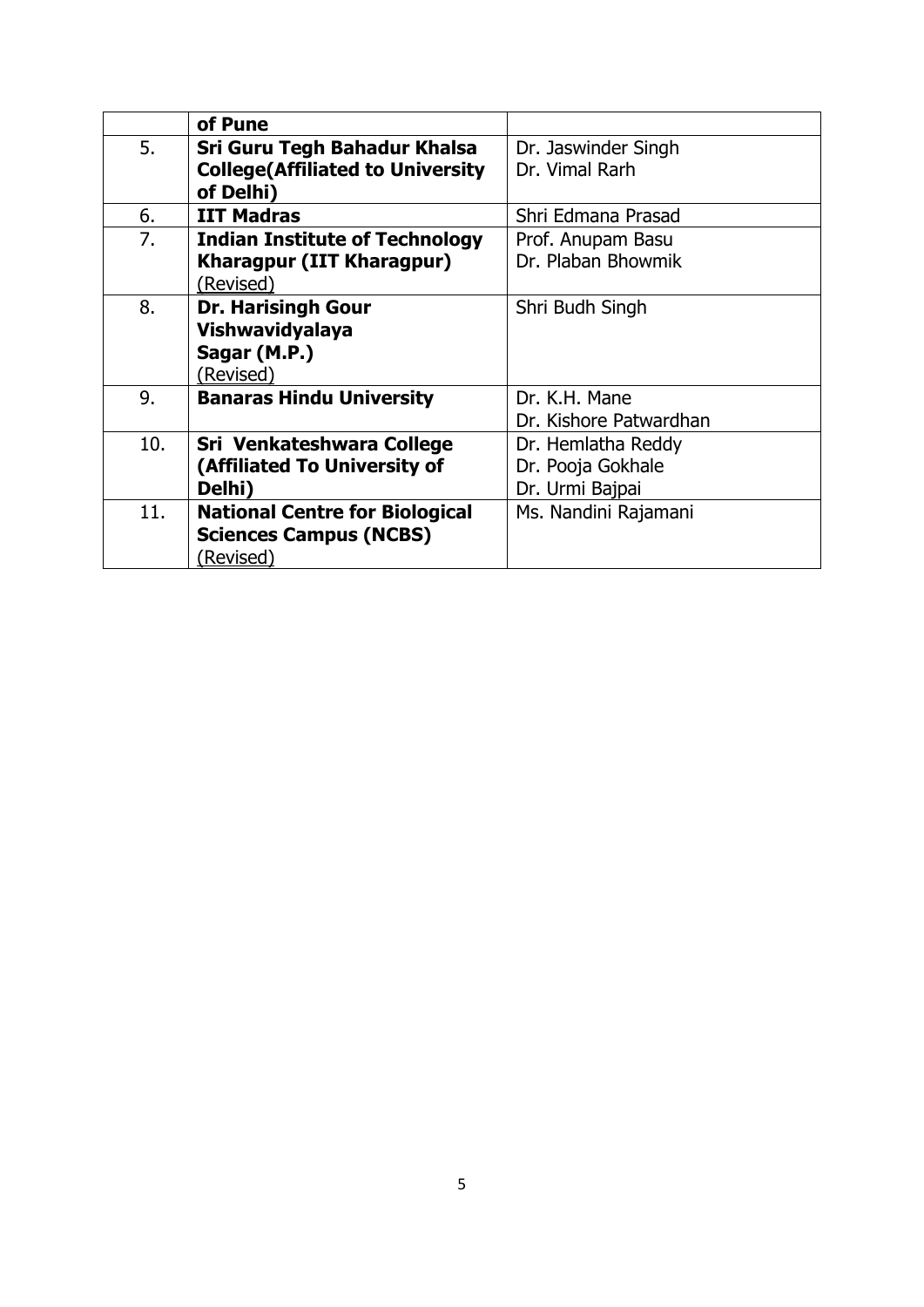|     | of Pune                                 |                        |
|-----|-----------------------------------------|------------------------|
| 5.  | Sri Guru Tegh Bahadur Khalsa            | Dr. Jaswinder Singh    |
|     | <b>College(Affiliated to University</b> | Dr. Vimal Rarh         |
|     | of Delhi)                               |                        |
| 6.  | <b>IIT Madras</b>                       | Shri Edmana Prasad     |
| 7.  | <b>Indian Institute of Technology</b>   | Prof. Anupam Basu      |
|     | <b>Kharagpur (IIT Kharagpur)</b>        | Dr. Plaban Bhowmik     |
|     | (Revised)                               |                        |
| 8.  | <b>Dr. Harisingh Gour</b>               | Shri Budh Singh        |
|     | Vishwavidyalaya                         |                        |
|     | Sagar (M.P.)                            |                        |
|     | (Revised)                               |                        |
| 9.  | <b>Banaras Hindu University</b>         | Dr. K.H. Mane          |
|     |                                         | Dr. Kishore Patwardhan |
| 10. | Sri Venkateshwara College               | Dr. Hemlatha Reddy     |
|     | (Affiliated To University of            | Dr. Pooja Gokhale      |
|     | Delhi)                                  | Dr. Urmi Bajpai        |
| 11. | <b>National Centre for Biological</b>   | Ms. Nandini Rajamani   |
|     | <b>Sciences Campus (NCBS)</b>           |                        |
|     | (Revised)                               |                        |